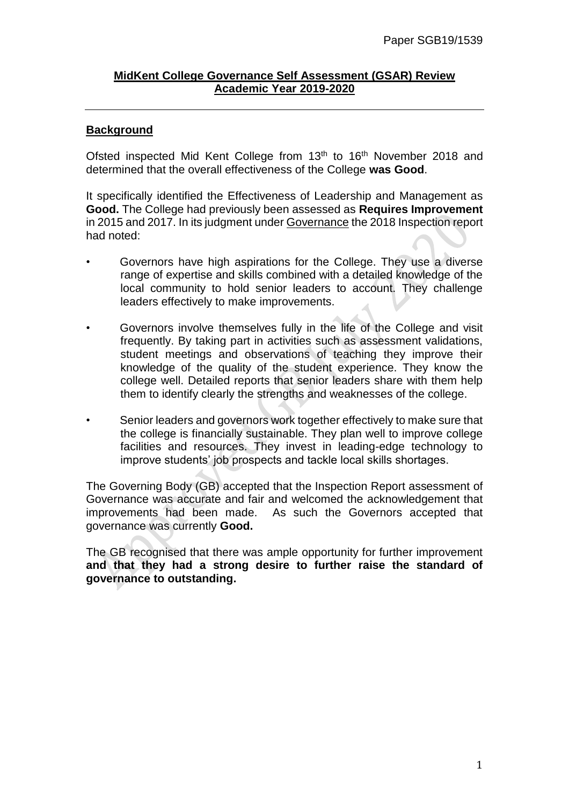## **MidKent College Governance Self Assessment (GSAR) Review Academic Year 2019-2020**

## **Background**

Ofsted inspected Mid Kent College from 13<sup>th</sup> to 16<sup>th</sup> November 2018 and determined that the overall effectiveness of the College **was Good**.

It specifically identified the Effectiveness of Leadership and Management as **Good.** The College had previously been assessed as **Requires Improvement** in 2015 and 2017. In its judgment under Governance the 2018 Inspection report had noted:

- Governors have high aspirations for the College. They use a diverse range of expertise and skills combined with a detailed knowledge of the local community to hold senior leaders to account. They challenge leaders effectively to make improvements.
- Governors involve themselves fully in the life of the College and visit frequently. By taking part in activities such as assessment validations, student meetings and observations of teaching they improve their knowledge of the quality of the student experience. They know the college well. Detailed reports that senior leaders share with them help them to identify clearly the strengths and weaknesses of the college.
- Senior leaders and governors work together effectively to make sure that the college is financially sustainable. They plan well to improve college facilities and resources. They invest in leading-edge technology to improve students' job prospects and tackle local skills shortages.

The Governing Body (GB) accepted that the Inspection Report assessment of Governance was accurate and fair and welcomed the acknowledgement that improvements had been made. As such the Governors accepted that governance was currently **Good.**

The GB recognised that there was ample opportunity for further improvement **and that they had a strong desire to further raise the standard of governance to outstanding.**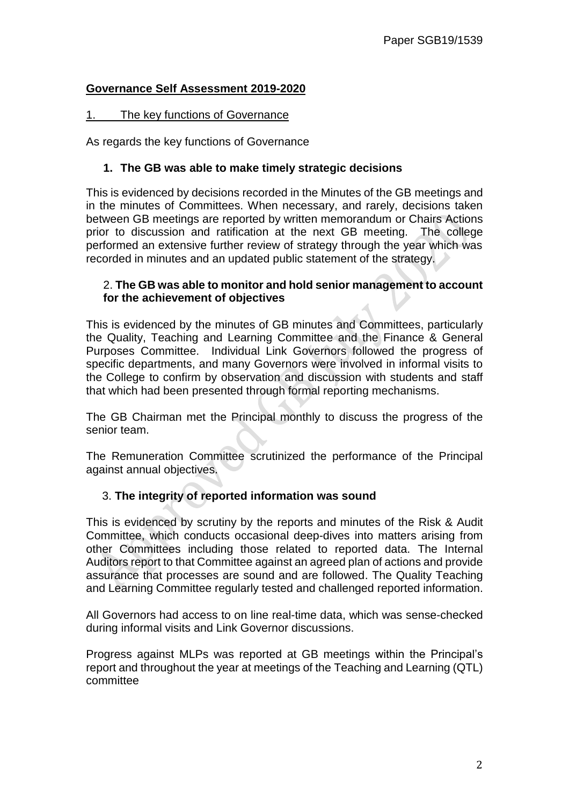## **Governance Self Assessment 2019-2020**

## 1. The key functions of Governance

As regards the key functions of Governance

#### **1. The GB was able to make timely strategic decisions**

This is evidenced by decisions recorded in the Minutes of the GB meetings and in the minutes of Committees. When necessary, and rarely, decisions taken between GB meetings are reported by written memorandum or Chairs Actions prior to discussion and ratification at the next GB meeting. The college performed an extensive further review of strategy through the year which was recorded in minutes and an updated public statement of the strategy.

#### 2. **The GB was able to monitor and hold senior management to account for the achievement of objectives**

This is evidenced by the minutes of GB minutes and Committees, particularly the Quality, Teaching and Learning Committee and the Finance & General Purposes Committee. Individual Link Governors followed the progress of specific departments, and many Governors were involved in informal visits to the College to confirm by observation and discussion with students and staff that which had been presented through formal reporting mechanisms.

The GB Chairman met the Principal monthly to discuss the progress of the senior team.

The Remuneration Committee scrutinized the performance of the Principal against annual objectives.

## 3. **The integrity of reported information was sound**

This is evidenced by scrutiny by the reports and minutes of the Risk & Audit Committee, which conducts occasional deep-dives into matters arising from other Committees including those related to reported data. The Internal Auditors report to that Committee against an agreed plan of actions and provide assurance that processes are sound and are followed. The Quality Teaching and Learning Committee regularly tested and challenged reported information.

All Governors had access to on line real-time data, which was sense-checked during informal visits and Link Governor discussions.

Progress against MLPs was reported at GB meetings within the Principal's report and throughout the year at meetings of the Teaching and Learning (QTL) committee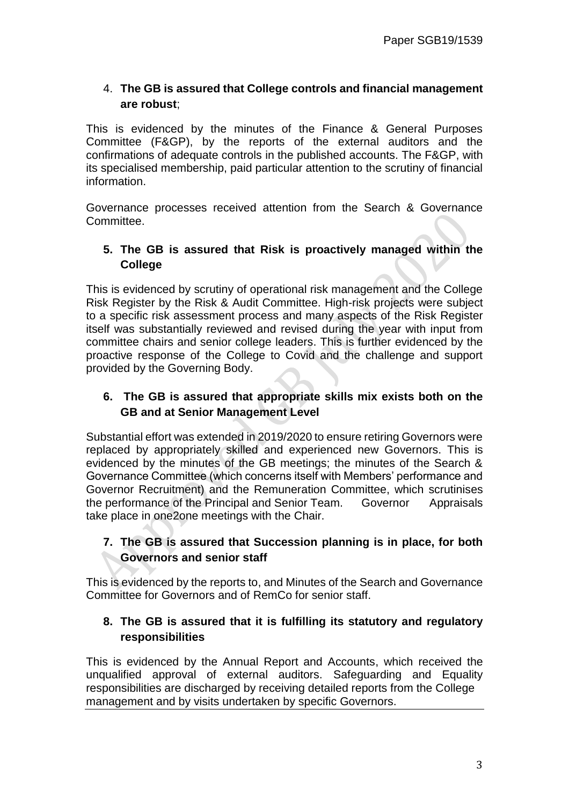# 4. **The GB is assured that College controls and financial management are robust**;

This is evidenced by the minutes of the Finance & General Purposes Committee (F&GP), by the reports of the external auditors and the confirmations of adequate controls in the published accounts. The F&GP, with its specialised membership, paid particular attention to the scrutiny of financial information.

Governance processes received attention from the Search & Governance Committee.

# **5. The GB is assured that Risk is proactively managed within the College**

This is evidenced by scrutiny of operational risk management and the College Risk Register by the Risk & Audit Committee. High-risk projects were subject to a specific risk assessment process and many aspects of the Risk Register itself was substantially reviewed and revised during the year with input from committee chairs and senior college leaders. This is further evidenced by the proactive response of the College to Covid and the challenge and support provided by the Governing Body.

# **6. The GB is assured that appropriate skills mix exists both on the GB and at Senior Management Level**

Substantial effort was extended in 2019/2020 to ensure retiring Governors were replaced by appropriately skilled and experienced new Governors. This is evidenced by the minutes of the GB meetings; the minutes of the Search & Governance Committee (which concerns itself with Members' performance and Governor Recruitment) and the Remuneration Committee, which scrutinises the performance of the Principal and Senior Team. Governor Appraisals take place in one2one meetings with the Chair.

# **7. The GB is assured that Succession planning is in place, for both Governors and senior staff**

This is evidenced by the reports to, and Minutes of the Search and Governance Committee for Governors and of RemCo for senior staff.

## **8. The GB is assured that it is fulfilling its statutory and regulatory responsibilities**

This is evidenced by the Annual Report and Accounts, which received the unqualified approval of external auditors. Safeguarding and Equality responsibilities are discharged by receiving detailed reports from the College management and by visits undertaken by specific Governors.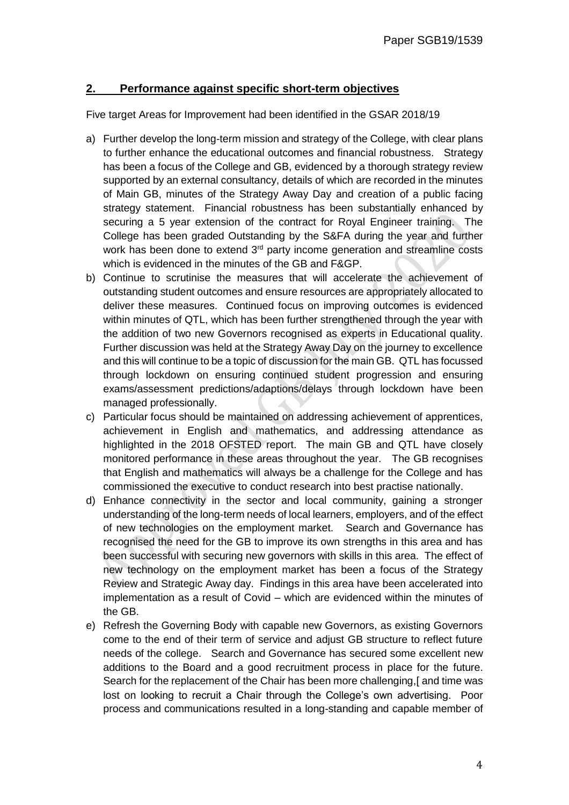## **2. Performance against specific short-term objectives**

Five target Areas for Improvement had been identified in the GSAR 2018/19

- a) Further develop the long-term mission and strategy of the College, with clear plans to further enhance the educational outcomes and financial robustness. Strategy has been a focus of the College and GB, evidenced by a thorough strategy review supported by an external consultancy, details of which are recorded in the minutes of Main GB, minutes of the Strategy Away Day and creation of a public facing strategy statement. Financial robustness has been substantially enhanced by securing a 5 year extension of the contract for Royal Engineer training. The College has been graded Outstanding by the S&FA during the year and further work has been done to extend 3<sup>rd</sup> party income generation and streamline costs which is evidenced in the minutes of the GB and F&GP.
- b) Continue to scrutinise the measures that will accelerate the achievement of outstanding student outcomes and ensure resources are appropriately allocated to deliver these measures. Continued focus on improving outcomes is evidenced within minutes of QTL, which has been further strengthened through the year with the addition of two new Governors recognised as experts in Educational quality. Further discussion was held at the Strategy Away Day on the journey to excellence and this will continue to be a topic of discussion for the main GB. QTL has focussed through lockdown on ensuring continued student progression and ensuring exams/assessment predictions/adaptions/delays through lockdown have been managed professionally.
- c) Particular focus should be maintained on addressing achievement of apprentices, achievement in English and mathematics, and addressing attendance as highlighted in the 2018 OFSTED report. The main GB and QTL have closely monitored performance in these areas throughout the year. The GB recognises that English and mathematics will always be a challenge for the College and has commissioned the executive to conduct research into best practise nationally.
- d) Enhance connectivity in the sector and local community, gaining a stronger understanding of the long-term needs of local learners, employers, and of the effect of new technologies on the employment market. Search and Governance has recognised the need for the GB to improve its own strengths in this area and has been successful with securing new governors with skills in this area. The effect of new technology on the employment market has been a focus of the Strategy Review and Strategic Away day. Findings in this area have been accelerated into implementation as a result of Covid – which are evidenced within the minutes of the GB.
- e) Refresh the Governing Body with capable new Governors, as existing Governors come to the end of their term of service and adjust GB structure to reflect future needs of the college. Search and Governance has secured some excellent new additions to the Board and a good recruitment process in place for the future. Search for the replacement of the Chair has been more challenging,[ and time was lost on looking to recruit a Chair through the College's own advertising. Poor process and communications resulted in a long-standing and capable member of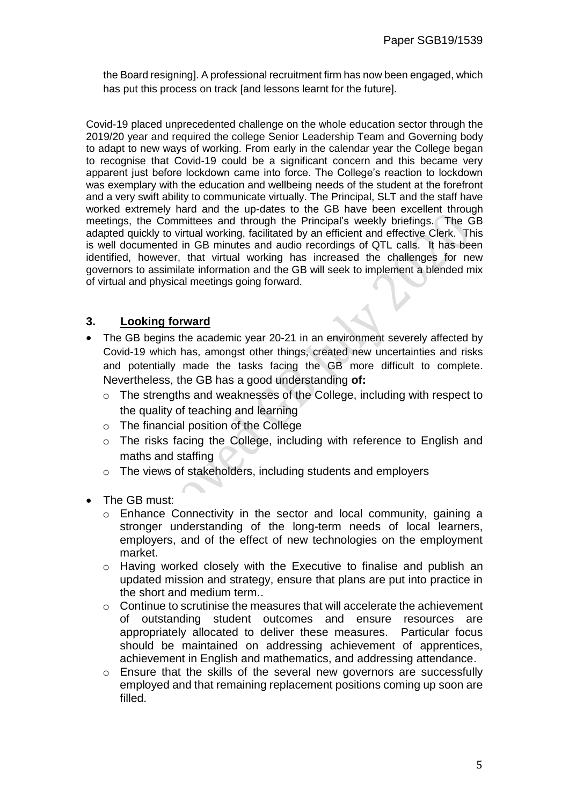the Board resigning]. A professional recruitment firm has now been engaged, which has put this process on track [and lessons learnt for the future].

Covid-19 placed unprecedented challenge on the whole education sector through the 2019/20 year and required the college Senior Leadership Team and Governing body to adapt to new ways of working. From early in the calendar year the College began to recognise that Covid-19 could be a significant concern and this became very apparent just before lockdown came into force. The College's reaction to lockdown was exemplary with the education and wellbeing needs of the student at the forefront and a very swift ability to communicate virtually. The Principal, SLT and the staff have worked extremely hard and the up-dates to the GB have been excellent through meetings, the Committees and through the Principal's weekly briefings. The GB adapted quickly to virtual working, facilitated by an efficient and effective Clerk. This is well documented in GB minutes and audio recordings of QTL calls. It has been identified, however, that virtual working has increased the challenges for new governors to assimilate information and the GB will seek to implement a blended mix of virtual and physical meetings going forward.

## **3. Looking forward**

- The GB begins the academic year 20-21 in an environment severely affected by Covid-19 which has, amongst other things, created new uncertainties and risks and potentially made the tasks facing the GB more difficult to complete. Nevertheless, the GB has a good understanding **of:**
	- o The strengths and weaknesses of the College, including with respect to the quality of teaching and learning
	- o The financial position of the College
	- o The risks facing the College, including with reference to English and maths and staffing
	- o The views of stakeholders, including students and employers
- The GB must:
	- o Enhance Connectivity in the sector and local community, gaining a stronger understanding of the long-term needs of local learners, employers, and of the effect of new technologies on the employment market.
	- o Having worked closely with the Executive to finalise and publish an updated mission and strategy, ensure that plans are put into practice in the short and medium term..
	- $\circ$  Continue to scrutinise the measures that will accelerate the achievement of outstanding student outcomes and ensure resources are appropriately allocated to deliver these measures. Particular focus should be maintained on addressing achievement of apprentices, achievement in English and mathematics, and addressing attendance.
	- o Ensure that the skills of the several new governors are successfully employed and that remaining replacement positions coming up soon are filled.